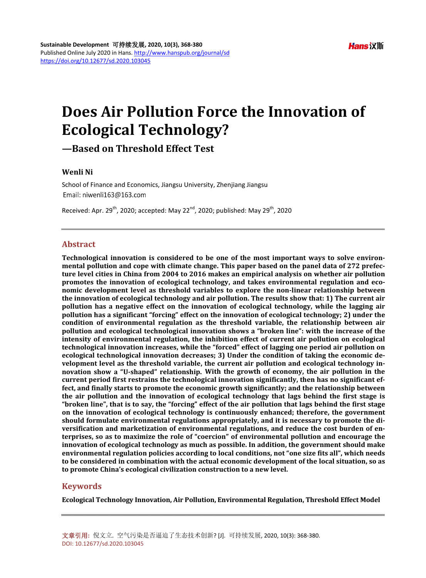## **Does Air Pollution Force the Innovation of Ecological Technology?**

**—Based on Threshold Effect Test**

### **Wenli Ni**

School of Finance and Economics, Jiangsu University, Zhenjiang Jiangsu Email: niwenli163@163.com

Received: Apr. 29<sup>th</sup>, 2020; accepted: May 22<sup>nd</sup>, 2020; published: May 29<sup>th</sup>, 2020

## **Abstract**

**Technological innovation is considered to be one of the most important ways to solve environmental pollution and cope with climate change. This paper based on the panel data of 272 prefecture level cities in China from 2004 to 2016 makes an empirical analysis on whether air pollution promotes the innovation of ecological technology, and takes environmental regulation and economic development level as threshold variables to explore the non-linear relationship between the innovation of ecological technology and air pollution. The results show that: 1) The current air pollution has a negative effect on the innovation of ecological technology, while the lagging air pollution has a significant "forcing" effect on the innovation of ecological technology; 2) under the condition of environmental regulation as the threshold variable, the relationship between air pollution and ecological technological innovation shows a "broken line": with the increase of the intensity of environmental regulation, the inhibition effect of current air pollution on ecological technological innovation increases, while the "forced" effect of lagging one period air pollution on ecological technological innovation decreases; 3) Under the condition of taking the economic development level as the threshold variable, the current air pollution and ecological technology innovation show a "U-shaped" relationship. With the growth of economy, the air pollution in the current period first restrains the technological innovation significantly, then has no significant effect, and finally starts to promote the economic growth significantly; and the relationship between the air pollution and the innovation of ecological technology that lags behind the first stage is "broken line", that is to say, the "forcing" effect of the air pollution that lags behind the first stage on the innovation of ecological technology is continuously enhanced; therefore, the government should formulate environmental regulations appropriately, and it is necessary to promote the diversification and marketization of environmental regulations, and reduce the cost burden of enterprises, so as to maximize the role of "coercion" of environmental pollution and encourage the innovation of ecological technology as much as possible. In addition, the government should make environmental regulation policies according to local conditions, not "one size fits all", which needs to be considered in combination with the actual economic development of the local situation, so as to promote China's ecological civilization construction to a new level.**

## **Keywords**

**Ecological Technology Innovation, Air Pollution, Environmental Regulation, Threshold Effect Model**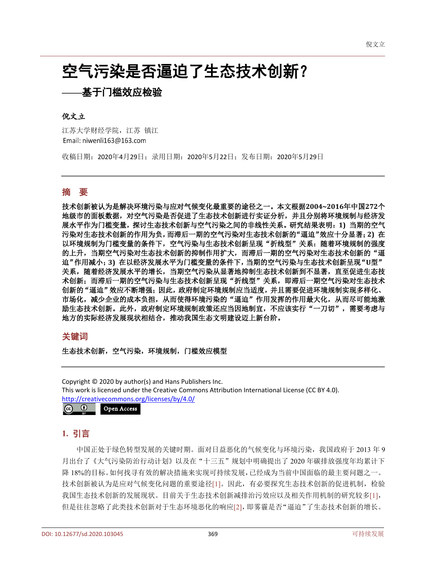# 空气污染是否逼迫了生态技术创新?

## **——**基于门槛效应检验

#### 倪文立

江苏大学财经学院,江苏 镇江 Email: niwenli163@163.com

收稿日期:2020年4月29日;录用日期:2020年5月22日;发布日期:2020年5月29日

## 摘 要

技术创新被认为是解决环境污染与应对气候变化最重要的途径之一。本文根据**2004~2016**年中国**272**个 地级市的面板数据,对空气污染是否促进了生态技术创新进行实证分析,并且分别将环境规制与经济发 展水平作为门槛变量,探讨生态技术创新与空气污染之间的非线性关系。研究结果表明:**1)** 当期的空气 污染对生态技术创新的作用为负,而滞后一期的空气污染对生态技术创新的"逼迫"效应十分显著;**2)** 在 以环境规制为门槛变量的条件下,空气污染与生态技术创新呈现"折线型"关系:随着环境规制的强度 的上升,当期空气污染对生态技术创新的抑制作用扩大,而滞后一期的空气污染对生态技术创新的"逼 迫"作用减小;**3)** 在以经济发展水平为门槛变量的条件下,当期的空气污染与生态技术创新呈现"**U**型" 关系,随着经济发展水平的增长,当期空气污染从显著地抑制生态技术创新到不显著,直至促进生态技 术创新;而滞后一期的空气污染与生态技术创新呈现"折线型"关系,即滞后一期空气污染对生态技术 创新的"逼迫"效应不断增强;因此,政府制定环境规制应当适度,并且需要促进环境规制实现多样化、 市场化,减少企业的成本负担,从而使得环境污染的"逼迫"作用发挥的作用最大化,从而尽可能地激 励生态技术创新。此外,政府制定环境规制政策还应当因地制宜,不应该实行"一刀切",需要考虑与 地方的实际经济发展现状相结合,推动我国生态文明建设迈上新台阶。

## 关键词

生态技术创新,空气污染,环境规制,门槛效应模型

Copyright © 2020 by author(s) and Hans Publishers Inc. This work is licensed under the Creative Commons Attribution International License (CC BY 4.0). <http://creativecommons.org/licenses/by/4.0/>  $\boxed{6}$   $\boxed{0}$ Open Access

## **1.** 引言

中国正处于绿色转型发展的关键时期。面对日益恶化的气候变化与环境污染,我国政府于 2013 年 9 月出台了《大气污染防治行动计划》以及在"十三五"规划中明确提出了 2020 年碳排放强度年均累计下 降 18%的目标。如何找寻有效的解决措施来实现可持续发展,已经成为当前中国面临的最主要问题之一。 技术创新被认为是应对气候变化问题的重要途径[\[1\]](#page-10-0)。因此,有必要探究生态技术创新的促进机制,检验 我国生态技术创新的发展现状。目前关于生态技术创新减排治污效应以及相关作用机制的研究较多[\[1\]](#page-10-0), 但是往往忽略了此类技术创新对于生态环境恶化的响应[\[2\]](#page-10-1),即雾霾是否"逼迫"了生态技术创新的增长。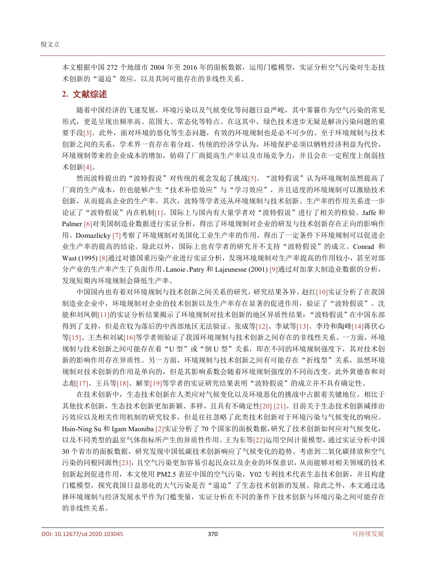本文根据中国 272 个地级市 2004 年至 2016 年的面板数据,运用门槛模型,实证分析空气污染对生态技 术创新的"逼迫"效应,以及其间可能存在的非线性关系。

#### **2.** 文献综述

随着中国经济的飞速发展,环境污染以及气候变化等问题日益严峻,其中雾霾作为空气污染的常见 形式,更是呈现出频率高、范围大、常态化等特点。在这其中,绿色技术进步无疑是解决污染问题的重 要手段[\[3\]](#page-11-0)。此外,面对环境的恶化等生态问题,有效的环境规制也是必不可少的。至于环境规制与技术 创新之间的关系,学术界一直存在着分歧。传统的经济学认为,环境保护必须以牺牲经济利益为代价, 环境规制带来的企业成本的增加,妨碍了厂商提高生产率以及市场竞争力,并且会在一定程度上削弱技 术创新[\[4\]](#page-11-1)。

然而波特提出的"波特假说"对传统的观念发起了挑战[\[5\]](#page-11-2)。"波特假说"认为环境规制虽然提高了 厂商的生产成本,但也能够产生"技术补偿效应"与"学习效应",并且适度的环境规制可以激励技术 创新,从而提高企业的生产率。其次,波特等学者还从环境规制与技术创新、生产率的作用关系进一步 论证了"波特假说"内在机制[\[1\]](#page-10-0)。国际上与国内有大量学者对"波特假说"进行了相关的检验。Jaffe 和 Palmer [\[6\]](#page-11-3)对美国制造业数据进行实证分析,得出了环境规制对企业的研发与技术创新存在正向的影响作 用。Domazlicky [\[7\]](#page-11-4)考察了环境规制对美国化工业生产率的作用,得出了一定条件下环境规制可以促进企 业生产率的提高的结论。除此以外,国际上也有学者的研究并不支持"波特假说"的成立。Conrad 和 Wast (1995) [\[8\]](#page-11-5)通过对德国重污染产业进行实证分析,发现环境规制对生产率提高的作用较小,甚至对部 分产业的生产率产生了负面作用。Lanoie、Patry 和 Lajeunesse (2001) [\[9\]](#page-11-6)通过对加拿大制造业数据的分析, 发现短期内环境规制会降低生产率。

中国国内也有着对环境规制与技术创新之间关系的研究,研究结果各异。赵红[\[10\]](#page-11-7)实证分析了在我国 制造业企业中,环境规制对企业的技术创新以及生产率存在显著的促进作用,验证了"波特假说"。沈 能和刘凤朝[\[11\]](#page-11-8)的实证分析结果揭示了环境规制对技术创新的地区异质性结果: "波特假说"在中国东部 得到了支持,但是在较为落后的中西部地区无法验证。张成等[\[12\]](#page-11-9)、李斌等[\[13\]](#page-11-10)、李玲和陶峰[\[14\]](#page-11-11)蒋伏心 等[\[15\]](#page-11-12)、王杰和刘斌[\[16\]](#page-11-13)等学者则验证了我国环境规制与技术创新之间存在的非线性关系。一方面,环境 规制与技术创新之间可能存在着"U 型"或"倒 U 型"关系, 即在不同的环境规制强度下, 其对技术创 新的影响作用存在异质性。另一方面,环境规制与技术创新之间有可能存在"折线型"关系,虽然环境 规制对技术创新的作用是单向的,但是其影响系数会随着环境规制强度的不同而改变。此外黄德春和刘 志彪[\[17\]](#page-11-14)、王兵等[\[18\]](#page-11-15)、解垩[\[19\]](#page-11-16)等学者的实证研究结果表明"波特假说"的成立并不具有确定性。

在技术创新中,生态技术创新在人类应对气候变化以及环境恶化的挑战中占据着关键地位。相比于 其他技术创新,生态技术创新更加新颖、多样,且具有不确定性[\[20\]](#page-11-17) [\[21\]](#page-11-18)。目前关于生态技术创新减排治 污效应以及相关作用机制的研究较多,但是往往忽略了此类技术创新对于环境污染与气候变化的响应。 Hsin-Ning Su 和 Igam Maoniba [\[2\]](#page-10-1)实证分析了 70 个国家的面板数据,研究了技术创新如何应对气候变化, 以及不同类型的温室气体指标所产生的异质性作用。王为东等[\[22\]](#page-11-19)运用空间计量模型,通过实证分析中国 30 个省市的面板数据,研究发现中国低碳技术创新响应了气候变化的趋势。考虑到二氧化碳排放和空气 污染的同根同源性[\[23\]](#page-11-20),且空气污染更加容易引起民众以及企业的环保意识,从而能够对相关领域的技术 创新起到促进作用,本文使用 PM2.5 表征中国的空气污染,Y02 专利技术代表生态技术创新,并且构建 门槛模型,探究我国日益恶化的大气污染是否"逼迫"了生态技术创新的发展。除此之外,本文通过选 择环境规制与经济发展水平作为门槛变量,实证分析在不同的条件下技术创新与环境污染之间可能存在 的非线性关系。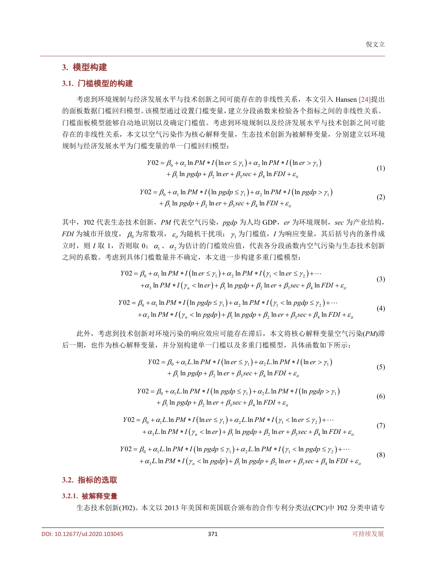## **3.** 模型构建

## **3.1.** 门槛模型的构建

考虑到环境规制与经济发展水平与技术创新之间可能存在的非线性关系,本文引入 Hansen [\[24\]](#page-11-21)提出 的面板数据门槛回归模型。该模型通过设置门槛变量,建立分段函数来检验各个指标之间的非线性关系。 门槛面板模型能够自动地识别以及确定门槛值。考虑到环境规制以及经济发展水平与技术创新之间可能 存在的非线性关系,本文以空气污染作为核心解释变量,生态技术创新为被解释变量,分别建立以环境 规制与经济发展水平为门槛变量的单一门槛回归模型:

$$
Y02 = \beta_0 + \alpha_1 \ln PM * I \left( \ln er \le \gamma_1 \right) + \alpha_2 \ln PM * I \left( \ln er > \gamma_1 \right) + \beta_1 \ln pgdp + \beta_2 \ln er + \beta_3 \sec + \beta_4 \ln FDI + \varepsilon_{ii}
$$
 (1)

$$
Y02 = \beta_0 + \alpha_1 \ln PM * I \left( \ln pgdp \le \gamma_1 \right) + \alpha_2 \ln PM * I \left( \ln pgdp > \gamma_1 \right) + \beta_1 \ln pgdp + \beta_2 \ln er + \beta_3 \sec + \beta_4 \ln FDI + \varepsilon_{ii}
$$
 (2)

其中,*Y*02 代表生态技术创新,*PM* 代表空气污染,*pgdp* 为人均 GDP,*er* 为环境规制,*sec* 为产业结构,  $FDI$  为城市开放度,  $\beta_0$  为常数项,  $\varepsilon_1$  为随机干扰项;  $\gamma_1$  为门槛值,  $I$  为响应变量, 其后括号内的条件成  $\overline{\Delta}$  If  $\overline{\text{I}}$  IV 1, 否则取 0; α<sub>1</sub>、α<sub>2</sub> 为估计的门槛效应值, 代表各分段函数内空气污染与生态技术创新 之间的系数。考虑到具体门槛数量并不确定,本文进一步构建多重门槛模型:

$$
Y02 = \beta_0 + \alpha_1 \ln PM * I \left( \ln er \le \gamma_1 \right) + \alpha_2 \ln PM * I \left( \gamma_1 < \ln er \le \gamma_2 \right) + \cdots
$$
\n
$$
+ \alpha_3 \ln PM * I \left( \gamma_n < \ln er \right) + \beta_1 \ln pgdp + \beta_2 \ln er + \beta_3 \sec + \beta_4 \ln FDI + \varepsilon_n \tag{3}
$$

$$
Y02 = \beta_0 + \alpha_1 \ln PM * I \left( \ln pgdp \leq \gamma_1 \right) + \alpha_2 \ln PM * I \left( \gamma_1 < \ln pgdp \leq \gamma_2 \right) + \cdots
$$
\n
$$
+ \alpha_3 \ln PM * I \left( \gamma_n < \ln pgdp \right) + \beta_1 \ln pgdp + \beta_2 \ln er + \beta_3 \sec + \beta_4 \ln FDI + \varepsilon_n \tag{4}
$$

此外,考虑到技术创新对环境污染的响应效应可能存在滞后,本文将核心解释变量空气污染(*PM*)滞 后一期,也作为核心解释变量,并分别构建单一门槛以及多重门槛模型,具体函数如下所示:

$$
Y02 = \beta_0 + \alpha_1 L \ln PM * I \left( \ln er \le \gamma_1 \right) + \alpha_2 L \ln PM * I \left( \ln er > \gamma_1 \right)
$$
  
+  $\beta_1 \ln pgdp + \beta_2 \ln er + \beta_3 sec + \beta_4 \ln FDI + \varepsilon_{ii}$  (5)

$$
Y02 = \beta_0 + \alpha_1 L \ln PM * I \left( \ln pgdp \le \gamma_1 \right) + \alpha_2 L \ln PM * I \left( \ln pgdp > \gamma_1 \right)
$$
  
+  $\beta_1 \ln pgdp + \beta_2 \ln er + \beta_3 sec + \beta_4 \ln FDI + \varepsilon_{it}$  (6)

$$
Y02 = \beta_0 + \alpha_1 L \ln PM * I \left( \ln er \le \gamma_1 \right) + \alpha_2 L \ln PM * I \left( \gamma_1 < \ln er \le \gamma_2 \right) + \cdots
$$
  
+  $\alpha_3 L \ln PM * I \left( \gamma_n < \ln er \right) + \beta_1 \ln pgdp + \beta_2 \ln er + \beta_3 \sec + \beta_4 \ln FDI + \varepsilon_{ii}$  (7)

$$
Y02 = \beta_0 + \alpha_1 L \ln PM * I \left( \ln pgdp \le \gamma_1 \right) + \alpha_2 L \ln PM * I \left( \gamma_1 < \ln pgdp \le \gamma_2 \right) + \cdots
$$
  
+  $\alpha_3 L \ln PM * I \left( \gamma_n < \ln pgdp \right) + \beta_1 \ln pgdp + \beta_2 \ln er + \beta_3 sec + \beta_4 \ln FDI + \varepsilon_n$  (8)

#### **3.2.** 指标的选取

#### **3.2.1.** 被解释变量

生态技术创新(*Y*02)。本文以 2013 年美国和英国联合颁布的合作专利分类法(CPC)中 *Y*02 分类申请专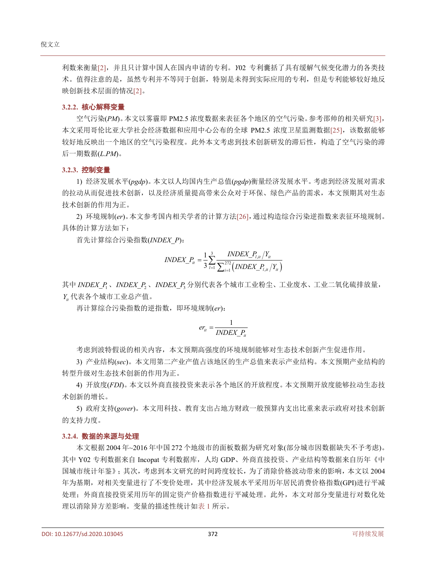利数来衡量[\[2\]](#page-10-1),并且只计算中国人在国内申请的专利。*Y*02 专利囊括了具有缓解气候变化潜力的各类技 术。值得注意的是,虽然专利并不等同于创新,特别是未得到实际应用的专利,但是专利能够较好地反 映创新技术层面的情况[\[2\]](#page-10-1)。

#### **3.2.2.** 核心解释变量

空气污染(*PM*)。本文以雾霾即 PM2.5 浓度数据来表征各个地区的空气污染。参考邵帅的相关研究[\[3\]](#page-11-0), 本文采用哥伦比亚大学社会经济数据和应用中心公布的全球 PM2.5 浓度卫星监测数据[\[25\]](#page-11-22), 该数据能够 较好地反映出一个地区的空气污染程度。此外本文考虑到技术创新研发的滞后性,构造了空气污染的滞 后一期数据(*L*.*PM*)。

#### **3.2.3.** 控制变量

1) 经济发展水平(*pgdp*)。本文以人均国内生产总值(*pgdp*)衡量经济发展水平。考虑到经济发展对需求 的拉动从而促进技术创新,以及经济质量提高带来公众对于环保、绿色产品的需求,本文预期其对生态 技术创新的作用为正。

2) 环境规制(*er*)。本文参考国内相关学者的计算方法[\[26\]](#page-11-23),通过构造综合污染逆指数来表征环境规制。 具体的计算方法如下:

首先计算综合污染指数(*INDEX\_P*):

$$
INDEX\_P_{it} = \frac{1}{3} \sum_{l=1}^{3} \frac{INDEX\_P_{l,it}}{\sum_{i=1}^{272} (INDEX\_P_{l,it}/Y_{it})}
$$

其中 INDEX P<sub>1</sub>、 INDEX P<sub>2</sub>、 INDEX P<sub>3</sub> 分别代表各个城市工业粉尘、工业废水、工业二氧化硫排放量, *Yit* 代表各个城市工业总产值。

再计算综合污染指数的逆指数,即环境规制(*er*):

$$
er_{it} = \frac{1}{INDEX\_P_{it}}
$$

考虑到波特假说的相关内容,本文预期高强度的环境规制能够对生态技术创新产生促进作用。

3) 产业结构(*sec*)。本文用第二产业产值占该地区的生产总值来表示产业结构。本文预期产业结构的 转型升级对生态技术创新的作用为正。

4) 开放度(*FDI*)。本文以外商直接投资来表示各个地区的开放程度。本文预期开放度能够拉动生态技 术创新的增长。

5) 政府支持(*gover*)。本文用科技、教育支出占地方财政一般预算内支出比重来表示政府对技术创新 的支持力度。

#### **3.2.4.** 数据的来源与处理

本文根据 2004 年~2016 年中国 272 个地级市的面板数据为研究对象(部分城市因数据缺失不予考虑)。 其中 Y02 专利数据来自 Incopat 专利数据库, 人均 GDP、外商直接投资、产业结构等数据来自历年《中 国城市统计年鉴》;其次,考虑到本文研究的时间跨度较长,为了消除价格波动带来的影响,本文以 2004 年为基期,对相关变量进行了不变价处理,其中经济发展水平采用历年居民消费价格指数(GPI)进行平减 处理;外商直接投资采用历年的固定资产价格指数进行平减处理。此外,本文对部分变量进行对数化处 理以消除异方差影响。变量的描述性统计[如表](#page-5-0) 1 所示。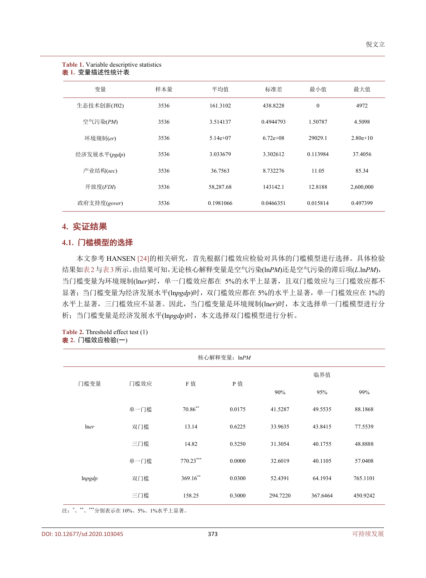#### 倪文立

#### <span id="page-5-0"></span>**Table 1.** Variable descriptive statistics 表 **1.** 变量描述性统计表

| 变量           | 样本量  | 平均值        | 标准差         | 最小值      | 最大值        |
|--------------|------|------------|-------------|----------|------------|
| 生态技术创新(Y02)  | 3536 | 161.3102   | 438.8228    | $\theta$ | 4972       |
| 空气污染(PM)     | 3536 | 3.514137   | 0.4944793   | 1.50787  | 4.5098     |
| 环境规制(er)     | 3536 | $5.14e+07$ | $6.72e+0.8$ | 29029.1  | $2.80e+10$ |
| 经济发展水平(pgdp) | 3536 | 3.033679   | 3.302612    | 0.113984 | 37.4056    |
| 产业结构(sec)    | 3536 | 36.7563    | 8.732276    | 11.05    | 85.34      |
| 开放度(FDI)     | 3536 | 58,287.68  | 143142.1    | 12.8188  | 2,600,000  |
| 政府支持度(gover) | 3536 | 0.1981066  | 0.0466351   | 0.015814 | 0.497399   |

## **4.** 实证结果

## **4.1.** 门槛模型的选择

本文参考 HANSEN [\[24\]](#page-11-21)的相关研究,首先根据门槛效应检验对具体的门槛模型进行选择。具体检验 结果[如表](#page-5-1)2[与表](#page-6-0)3所示。由结果可知,无论核心解释变量是空气污染(ln*PM*)还是空气污染的滞后项(*L*.ln*PM*), 当门槛变量为环境规制(ln*er*)时,单一门槛效应都在 5%的水平上显著,且双门槛效应与三门槛效应都不 显著;当门槛变量为经济发展水平(ln*pgdp*)时,双门槛效应都在 5%的水平上显著,单一门槛效应在 1%的 水平上显著,三门槛效应不显著。因此,当门槛变量是环境规制(ln*er*)时,本文选择单一门槛模型进行分 析;当门槛变量是经济发展水平(ln*pgdp*)时,本文选择双门槛模型进行分析。

#### <span id="page-5-1"></span>**Table 2.** Threshold effect test (1) 表 **2.** 门槛效应检验(一)

| 核心解释变量: lnPM |      |            |        |          |          |          |  |
|--------------|------|------------|--------|----------|----------|----------|--|
| 门槛变量         |      | F值         |        |          | 临界值      |          |  |
|              | 门槛效应 |            | P值     | 90%      | 95%      | 99%      |  |
|              | 单一门槛 | $70.86***$ | 0.0175 | 41.5287  | 49.5535  | 88.1868  |  |
| <i>lner</i>  | 双门槛  | 13.14      | 0.6225 | 33.9635  | 43.8415  | 77.5539  |  |
|              | 三门槛  | 14.82      | 0.5250 | 31.3054  | 40.1755  | 48.8888  |  |
|              | 单一门槛 | 770.23***  | 0.0000 | 32.6019  | 40.1105  | 57.0408  |  |
| lnpgdp       | 双门槛  | $369.16**$ | 0.0300 | 52.4391  | 64.1934  | 765.1101 |  |
|              | 三门槛  | 158.25     | 0.3000 | 294.7220 | 367.6464 | 450.9242 |  |

注: \*、\*\*、\*\*\*分别表示在 10%、5%、1%水平上显著。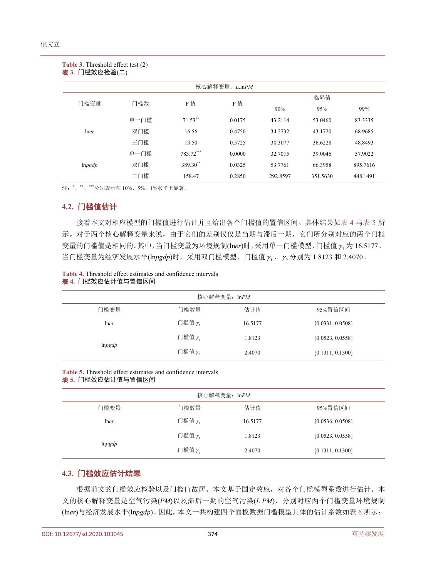<span id="page-6-0"></span>

| <b>Table 3.</b> Threshold effect test (2)<br>表 3. 门槛效应检验(二) |      |                      |                |          |          |          |  |  |
|-------------------------------------------------------------|------|----------------------|----------------|----------|----------|----------|--|--|
|                                                             |      |                      | 核心解释变量: L.lnPM |          |          |          |  |  |
| 门槛变量                                                        | 门槛数  | F值                   | P值             |          | 临界值      |          |  |  |
|                                                             |      |                      |                | 90%      | 95%      | 99%      |  |  |
|                                                             | 单一门槛 | $71.53***$           | 0.0175         | 43.2114  | 53.0460  | 83.3335  |  |  |
| lner                                                        | 双门槛  | 16.56                | 0.4750         | 34.2732  | 43.1720  | 68.9685  |  |  |
|                                                             | 三门槛  | 13.50                | 0.5725         | 30.3077  | 36.6228  | 48.8493  |  |  |
|                                                             | 单一门槛 | 783.72***            | 0.0000         | 32.7015  | 39.0046  | 57.9022  |  |  |
| lnpgdp                                                      | 双门槛  | 389.30 <sup>**</sup> | 0.0325         | 53.7761  | 66.3958  | 895.7616 |  |  |
|                                                             | 三门槛  | 158.47               | 0.2850         | 292.8597 | 351.5630 | 448.1491 |  |  |

注: \*、\*\*、\*\*\*分别表示在 10%、5%、1%水平上显著。

## **4.2.** 门槛值估计

接着本文对相应模型的门槛值进行估计并且给出各个门槛值的置信区间。具体结果[如表](#page-6-1) 4 [与表](#page-6-2) 5 所 示。对于两个核心解释变量来说,由于它们的差别仅仅是当期与滞后一期,它们所分别对应的两个门槛 变量的门槛值是相同的。其中, 当门槛变量为环境规制(lner)时, 采用单一门槛模型, 门槛值 γ 为 16.5177。 当门槛变量为经济发展水平(lnpgdp)时,采用双门槛模型,门槛值  $\gamma_1$ 、  $\gamma_2$  分别为 1.8123 和 2.4070。

<span id="page-6-1"></span>

|  |  |                   | <b>Table 4.</b> Threshold effect estimates and confidence intervals |  |  |
|--|--|-------------------|---------------------------------------------------------------------|--|--|
|  |  | 表 4. 门槛效应估计值与置信区间 |                                                                     |  |  |

| 核心解释变量: lnPM |        |         |                  |  |  |  |
|--------------|--------|---------|------------------|--|--|--|
| 门槛变量         | 门槛数量   | 估计值     | 95%置信区间          |  |  |  |
| lner         | 门槛值 γ  | 16.5177 | [0.0331, 0.0508] |  |  |  |
| lnpgdp       | 门槛值 y  | 1.8123  | [0.0523, 0.0558] |  |  |  |
|              | 门槛值 ŗ, | 2.4070  | [0.1311, 0.1300] |  |  |  |

<span id="page-6-2"></span>**Table 5.** Threshold effect estimates and confidence intervals

表 **5.** 门槛效应估计值与置信区间

| 核心解释变量: ln <i>PM</i> |        |         |                  |  |  |  |
|----------------------|--------|---------|------------------|--|--|--|
| 门槛变量                 | 门槛数量   | 估计值     | 95%置信区间          |  |  |  |
| lner                 | 门槛值 γ  | 16.5177 | [0.0536, 0.0508] |  |  |  |
| lnpgdp               | 门槛值 γ  | 1.8123  | [0.0523, 0.0558] |  |  |  |
|                      | 门槛值 y, | 2.4070  | [0.1311, 0.1300] |  |  |  |

## **4.3.** 门槛效应估计结果

根据前文的门槛效应检验以及门槛值故居。本文基于固定效应,对各个门槛模型系数进行估计。本 文的核心解释变量是空气污染(*PM*)以及滞后一期的空气污染(*L*.*PM*),分别对应两个门槛变量环境规制 (ln*er*)与经济发展水平(ln*pgdp*)。因此,本文一共构建四个面板数据门槛模型具体的估计系数[如表](#page-7-0) 6 所示: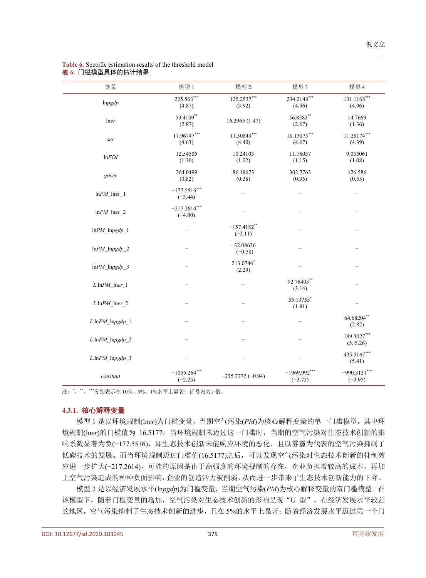| 变量                         | 模型 1                        | 模型 2                        | 模型 3                        | 模型 4                        |
|----------------------------|-----------------------------|-----------------------------|-----------------------------|-----------------------------|
| lnpgdp                     | 225.563***<br>(4.87)        | 125.2537***<br>(3.92)       | 234.2148***<br>(4.96)       | $131.1168***$<br>(4.06)     |
| lner                       | 59.4139**<br>(2.87)         | 16.2965 (1.47)              | 56.8583**<br>(2.67)         | 14.7669<br>(1.36)           |
| sec                        | 17.96747***<br>(4.63)       | 11.30843***<br>(4.40)       | 18.15075***<br>(4.67)       | 11.28174***<br>(4.39)       |
| lnFDI                      | 12.54505<br>(1.30)          | 10.24103<br>(1.22)          | 11.18037<br>(1.15)          | 9.055061<br>(1.08)          |
| gover                      | 264.0499<br>(0.82)          | 86.19673<br>(0.38)          | 302.7763<br>(0.95)          | 126.586<br>(0.55)           |
| $lnPM\_Iner\_1$            | $-177.5516***$<br>$(-3.44)$ |                             |                             |                             |
| $lnPM_$ lner_2             | $-217.2614***$<br>$(-4.00)$ |                             |                             |                             |
| $lnPM\_lnpgdp_1$           |                             | $-157.4182$ **<br>$(-3.11)$ |                             |                             |
| $lnPM\_lnpgdp_2$           |                             | $-32.08636$<br>$(-0.58)$    |                             |                             |
| $lnPM\_lnpgdp_3$           |                             | 213.0744*<br>(2.29)         |                             |                             |
| $L$ .ln $PM$ lner_1        |                             |                             | 92.76403**<br>(3.14)        |                             |
| $L$ .ln $PM$ Iner_2        |                             |                             | 55.19753*<br>(1.91)         |                             |
| $L.$ ln $PM$ _ln $pgdp$ _l |                             |                             |                             | 64.68204**<br>(2.82)        |
| $L$ .ln $PM$ _lnpgdp_2     |                             |                             |                             | 189.3027***<br>(5.5.26)     |
| $L.$ ln $PM$ _ln $pgdp$ _3 |                             |                             |                             | 435.5167***<br>(5.41)       |
| constant                   | $-1055.264***$<br>$(-2.25)$ | $-235.7372(-0.94)$          | $-1969.992***$<br>$(-3.75)$ | $-990.3131***$<br>$(-3.95)$ |

#### <span id="page-7-0"></span>**Table 6.** Specific estimation results of the threshold model 表 **6.** 门槛模型具体的估计结果

注:\* 、\*\*、\*\*\*分别表示在 10%、5%、1%水平上显著;括号内为 *t* 值。

#### **4.3.1.** 核心解释变量

模型 1 是以环境规制(ln*er*)为门槛变量,当期空气污染(*PM*)为核心解释变量的单一门槛模型。其中环 境规制(ln*er*)的门槛值为 16.5177。当环境规制未迈过这一门槛时,当期的空气污染对生态技术创新的影 响系数显著为负(−177.5516),即生态技术创新未能响应环境的恶化,且以雾霾为代表的空气污染抑制了 低碳技术的发展。而当环境规制迈过门槛值(16.5177)之后,可以发现空气污染对生态技术创新的抑制效 应进一步扩大(−217.2614)。可能的原因是由于高强度的环境规制的存在,企业负担着较高的成本,再加 上空气污染造成的种种负面影响,企业的创造活力被削弱,从而进一步带来了生态技术创新能力的下降。

模型 2 是以经济发展水平(ln*pgdp*)为门槛变量,当期空气污染(*PM*)为核心解释变量的双门槛模型。在 该模型下,随着门槛变量的增加,空气污染对生态技术创新的影响呈现"U 型"。在经济发展水平较差 的地区,空气污染抑制了生态技术创新的进步,且在 5%的水平上显著;随着经济发展水平迈过第一个门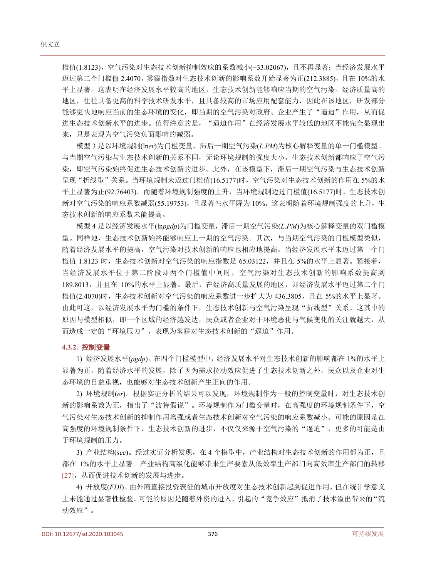槛值(1.8123),空气污染对生态技术创新抑制效应的系数减小(−33.02067),且不再显著;当经济发展水平 迈过第二个门槛值 2.4070,雾霾指数对生态技术创新的影响系数开始显著为正(212.3885),且在 10%的水 平上显著。这表明在经济发展水平较高的地区,生态技术创新能够响应当期的空气污染。经济质量高的 地区,往往具备更高的科学技术研发水平,且具备较高的市场应用配套能力,因此在该地区,研发部分 能够更快地响应当前的生态环境的变化,即当期的空气污染对政府、企业产生了"逼迫"作用,从而促 进生态技术创新水平的进步。值得注意的是, "逼迫作用"在经济发展水平较低的地区不能完全显现出 来,只是表现为空气污染负面影响的减弱。

模型 3 是以环境规制(ln*er*)为门槛变量,滞后一期空气污染(*L*.*PM*)为核心解释变量的单一门槛模型。 与当期空气污染与生态技术创新的关系不同,无论环境规制的强度大小,生态技术创新都响应了空气污 染,即空气污染始终促进生态技术创新的进步。此外,在该模型下,滞后一期空气污染与生态技术创新 呈现"折线型"关系。当环境规制未迈过门槛值(16.5177)时,空气污染对生态技术创新的作用在 5%的水 平上显著为正(92.76403)。而随着环境规制强度的上升,当环境规制迈过门槛值(16.5177)时,生态技术创 新对空气污染的响应系数减弱(55.19753),且显著性水平降为 10%。这表明随着环境规制强度的上升,生 态技术创新的响应系数未能提高。

模型 4 是以经济发展水平(ln*pgdp*)为门槛变量,滞后一期空气污染(*L*.*PM*)为核心解释变量的双门槛模 型。同样地,生态技术创新始终能够响应上一期的空气污染。其次,与当期空气污染的门槛模型类似, 随着经济发展水平的提高,空气污染对技术创新的响应也相应地提高。当经济发展水平未迈过第一个门 槛值 1.8123 时,生态技术创新对空气污染的响应指数是 65.03122,并且在 5%的水平上显著。紧接着, 当经济发展水平位于第二阶段即两个门槛值中间时,空气污染对生态技术创新的影响系数提高到 189.8013,并且在 10%的水平上显著。最后,在经济高质量发展的地区,即经济发展水平迈过第二个门 槛值(2.4070)时,生态技术创新对空气污染的响应系数进一步扩大为 436.3805,且在 5%的水平上显著。 由此可这,以经济发展水平为门槛的条件下,生态技术创新与空气污染呈现"折线型"关系。这其中的 原因与模型相似,即一个区域的经济越发达,民众或者企业对于环境恶化与气候变化的关注就越大,从 而造成一定的"环境压力",表现为雾霾对生态技术创新的"逼迫"作用。

#### **4.3.2.** 控制变量

1) 经济发展水平(*pgdp*)。在四个门槛模型中,经济发展水平对生态技术创新的影响都在 1%的水平上 显著为正。随着经济水平的发展,除了因为需求拉动效应促进了生态技术创新之外,民众以及企业对生 态环境的日益重视,也能够对生态技术创新产生正向的作用。

2) 环境规制(*er*)。根据实证分析的结果可以发现,环境规制作为一般的控制变量时,对生态技术创 新的影响系数为正,指出了"波特假说"。环境规制作为门槛变量时,在高强度的环境规制条件下,空 气污染对生态技术创新的抑制作用增强或者生态技术创新对空气污染的响应系数减小。可能的原因是在 高强度的环境规制条件下,生态技术创新的进步,不仅仅来源于空气污染的"逼迫",更多的可能是由 于环境规制的压力。

3) 产业结构(*sec*)。经过实证分析发现,在 4 个模型中,产业结构对生态技术创新的作用都为正,且 都在 1%的水平上显著。产业结构高级化能够带来生产要素从低效率生产部门向高效率生产部门的转移 [\[27\]](#page-11-24),从而促进技术创新的发展与进步。

4) 开放度(*FDI*)。由外商直接投资表征的城市开放度对生态技术创新起到促进作用,但在统计学意义 上未能通过显著性检验。可能的原因是随着外资的进入,引起的"竞争效应"抵消了技术溢出带来的"流 动效应"。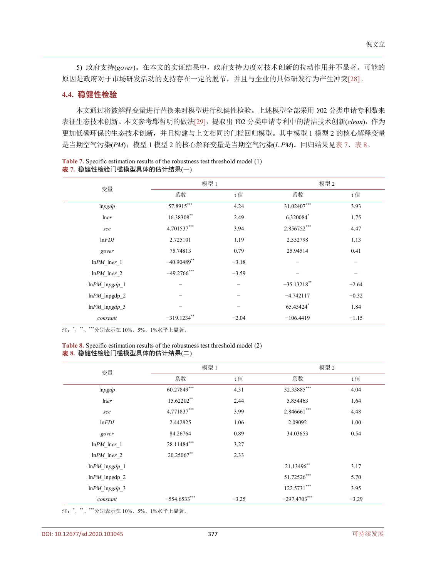5) 政府支持(*gover*)。在本文的实证结果中,政府支持力度对技术创新的拉动作用并不显著。可能的 原因是政府对于市场研发活动的支持存在一定的脱节,并且与企业的具体研发行为产生冲突[\[28\]](#page-11-25)。

#### **4.4.** 稳健性检验

本文通过将被解释变量进行替换来对模型进行稳健性检验。上述模型全部采用 *Y*02 分类申请专利数来 表征生态技术创新。本文参考鄢哲明的做法[\[29\]](#page-12-0),提取出 *Y*02 分类申请专利中的清洁技术创新(*clean*),作为 更加低碳环保的生态技术创新,并且构建与上文相同的门槛回归模型。其中模型 1 模型 2 的核心解释变量 是当期空气污染(*PM*);模型 1 模型 2 的核心解释变量是当期空气污染(*L*.*PM*)。回归结果[见表](#page-9-0) 7[、表](#page-9-1) 8。

|                   | 模型 1           |         |                | 模型 2    |  |  |
|-------------------|----------------|---------|----------------|---------|--|--|
| 变量                | 系数             | t值      | 系数             | t值      |  |  |
| lnpgdp            | 57.8915***     | 4.24    | 31.02407***    | 3.93    |  |  |
| lner              | 16.38308**     | 2.49    | 6.320084*      | 1.75    |  |  |
| sec               | 4.701537***    | 3.94    | 2.856752***    | 4.47    |  |  |
| lnFDI             | 2.725101       | 1.19    | 2.352798       | 1.13    |  |  |
| gover             | 75.74813       | 0.79    | 25.94514       | 0.41    |  |  |
| $lnPM$ $lner_1$   | $-40.90489$ ** | $-3.18$ |                |         |  |  |
| $lnPM$ lner 2     | $-49.2766***$  | $-3.59$ |                |         |  |  |
| $lnPM\_lnpgdp_1$  | -              |         | $-35.13218$ ** | $-2.64$ |  |  |
| $lnPM$ _lnpgdp_2  |                |         | $-4.742117$    | $-0.32$ |  |  |
| $lnPM$ $lnpgdp$ 3 |                |         | 65.45424*      | 1.84    |  |  |
| constant          | $-319.1234$ ** | $-2.04$ | $-106.4419$    | $-1.15$ |  |  |

<span id="page-9-0"></span>

| <b>Table 7.</b> Specific estimation results of the robustness test threshold model (1) |
|----------------------------------------------------------------------------------------|
| 表 7. 稳健性检验门槛模型具体的估计结果(一)                                                               |

注: \*、\*\*、\*\*\*分别表示在 10%、5%、1%水平上显著。

#### <span id="page-9-1"></span>**Table 8.** Specific estimation results of the robustness test threshold model (2) 表 **8.** 稳健性检验门槛模型具体的估计结果(二)

|                   | 模型 1           |         |                 | 模型 2    |  |  |
|-------------------|----------------|---------|-----------------|---------|--|--|
| 变量                | 系数             | t值      | 系数              | t值      |  |  |
| lnpgdp            | 60.27849***    | 4.31    | 32.35885***     | 4.04    |  |  |
| lner              | 15.62202**     | 2.44    | 5.854463        | 1.64    |  |  |
| sec               | 4.771837***    | 3.99    | 2.846661***     | 4.48    |  |  |
| ln FDI            | 2.442825       | 1.06    | 2.09092         | 1.00    |  |  |
| gover             | 84.26764       | 0.89    | 34.03653        | 0.54    |  |  |
| $lnPM$ lner 1     | 28.11484***    | 3.27    |                 |         |  |  |
| $lnPM$ $lner_2$   | 20.25067**     | 2.33    |                 |         |  |  |
| $lnPM$ $lnpgdp$ 1 |                |         | 21.13496**      | 3.17    |  |  |
| $lnPM$ lnpgdp 2   |                |         | 51.72526***     | 5.70    |  |  |
| $lnPM\_lnpgdp_3$  |                |         | $122.5731***$   | 3.95    |  |  |
| constant          | $-554.6533***$ | $-3.25$ | $-297.4703$ *** | $-3.29$ |  |  |

注: \*、\*\*、\*\*\*分别表示在 10%、5%、1%水平上显著。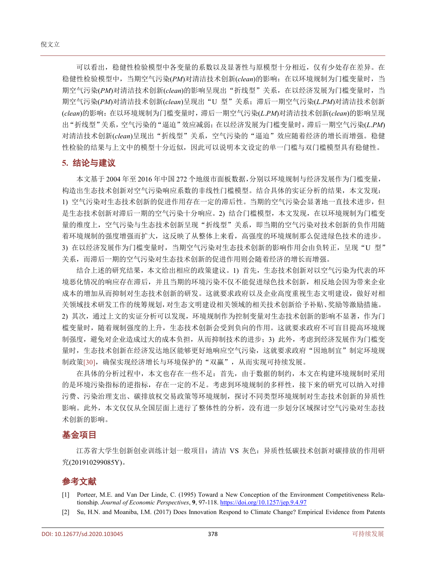可以看出,稳健性检验模型中各变量的系数以及显著性与原模型十分相近,仅有少处存在差异。在 稳健性检验模型中,当期空气污染(*PM*)对清洁技术创新(*clean*)的影响:在以环境规制为门槛变量时,当 期空气污染(*PM*)对清洁技术创新(*clean*)的影响呈现出"折线型"关系,在以经济发展为门槛变量时,当 期空气污染(*PM*)对清洁技术创新(*clean*)呈现出"U 型"关系;滞后一期空气污染(*L*.*PM*)对清洁技术创新 (*clean*)的影响:在以环境规制为门槛变量时,滞后一期空气污染(*L*.*PM*)对清洁技术创新(*clean*)的影响呈现 出"折线型"关系,空气污染的"逼迫"效应减弱;在以经济发展为门槛变量时,滞后一期空气污染(*L*.*PM*) 对清洁技术创新(*clean*)呈现出"折线型"关系,空气污染的"逼迫"效应随着经济的增长而增强。稳健 性检验的结果与上文中的模型十分近似,因此可以说明本文设定的单一门槛与双门槛模型具有稳健性。

### **5.** 结论与建议

本文基于 2004 年至 2016 年中国 272 个地级市面板数据,分别以环境规制与经济发展作为门槛变量, 构造出生态技术创新对空气污染响应系数的非线性门槛模型。结合具体的实证分析的结果,本文发现: 1) 空气污染对生态技术创新的促进作用存在一定的滞后性。当期的空气污染会显著地一直技术进步,但 是生态技术创新对滞后一期的空气污染十分响应。2) 结合门槛模型,本文发现, 在以环境规制为门槛变 量的维度上,空气污染与生态技术创新呈现"折线型"关系,即当期的空气污染对技术创新的负作用随 着环境规制的强度增强而扩大,这反映了从整体上来看,高强度的环境规制那么促进绿色技术的进步。 3) 在以经济发展作为门槛变量时,当期空气污染对生态技术创新的影响作用会由负转正,呈现"U 型" 关系,而滞后一期的空气污染对生态技术创新的促进作用则会随着经济的增长而增强。

结合上述的研究结果,本文给出相应的政策建议。1) 首先,生态技术创新对以空气污染为代表的环 境恶化情况的响应存在滞后,并且当期的环境污染不仅不能促进绿色技术创新,相反地会因为带来企业 成本的增加从而抑制对生态技术创新的研发。这就要求政府以及企业高度重视生态文明建设,做好对相 关领域技术研发工作的统筹规划,对生态文明建设相关领域的相关技术创新给予补贴、奖励等激励措施。 2) 其次,通过上文的实证分析可以发现,环境规制作为控制变量对生态技术创新的影响不显著,作为门 槛变量时,随着规制强度的上升,生态技术创新会受到负向的作用。这就要求政府不可盲目提高环境规 制强度,避免对企业造成过大的成本负担,从而抑制技术的进步;3) 此外,考虑到经济发展作为门槛变 量时,生态技术创新在经济发达地区能够更好地响应空气污染,这就要求政府"因地制宜"制定环境规 制政策[\[30\]](#page-12-1),确保实现经济增长与环境保护的"双赢",从而实现可持续发展。

在具体的分析过程中,本文也存在一些不足:首先,由于数据的制约,本文在构建环境规制时采用 的是环境污染指标的逆指标,存在一定的不足。考虑到环境规制的多样性,接下来的研究可以纳入对排 污费、污染治理支出、碳排放权交易政策等环境规制,探讨不同类型环境规制对生态技术创新的异质性 影响。此外,本文仅仅从全国层面上进行了整体性的分析,没有进一步划分区域探讨空气污染对生态技 术创新的影响。

## 基金项目

江苏省大学生创新创业训练计划一般项目:清洁 VS 灰色:异质性低碳技术创新对碳排放的作用研 究(201910299085Y)。

## 参考文献

- <span id="page-10-0"></span>[1] Porteer, M.E. and Van Der Linde, C. (1995) Toward a New Conception of the Environment Competitiveness Relationship. *Journal of Economic Perspectives*, **9**, 97-118.<https://doi.org/10.1257/jep.9.4.97>
- <span id="page-10-1"></span>[2] Su, H.N. and Moaniba, I.M. (2017) Does Innovation Respond to Climate Change? Empirical Evidence from Patents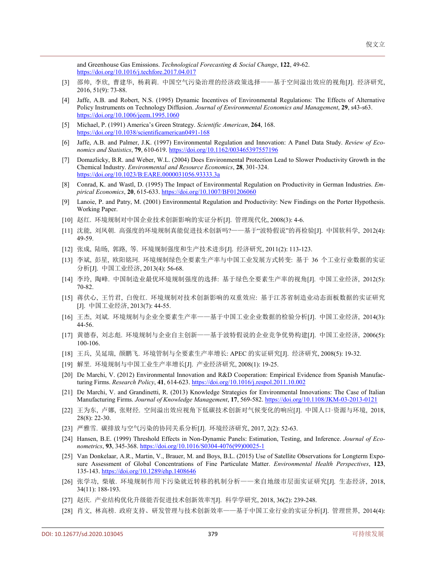and Greenhouse Gas Emissions. *Technological Forecasting & Social Change*, **122**, 49-62. <https://doi.org/10.1016/j.techfore.2017.04.017>

- <span id="page-11-0"></span>[3] 邵帅, 李欣, 曹建华, 杨莉莉. 中国空气污染治理的经济政策选择——基于空间溢出效应的视角[J]. 经济研究, 2016, 51(9): 73-88.
- <span id="page-11-1"></span>[4] Jaffe, A.B. and Robert, N.S. (1995) Dynamic Incentives of Environmental Regulations: The Effects of Alternative Policy Instruments on Technology Diffusion. *Journal of Environmental Economics and Management*, **29**, s43-s63. <https://doi.org/10.1006/jeem.1995.1060>
- <span id="page-11-2"></span>[5] Michael, P. (1991) America's Green Strategy. *Scientific American*, **264**, 168. <https://doi.org/10.1038/scientificamerican0491-168>
- <span id="page-11-3"></span>[6] Jaffe, A.B. and Palmer, J.K. (1997) Environmental Regulation and Innovation: A Panel Data Study. *Review of Economics and Statistics*, **79**, 610-619. <https://doi.org/10.1162/003465397557196>
- <span id="page-11-4"></span>[7] Domazlicky, B.R. and Weber, W.L. (2004) Does Environmental Protection Lead to Slower Productivity Growth in the Chemical Industry. *Environmental and Resource Economics*, **28**, 301-324. <https://doi.org/10.1023/B:EARE.0000031056.93333.3a>
- <span id="page-11-5"></span>[8] Conrad, K. and Wastl, D. (1995) The Impact of Environmental Regulation on Productivity in German Industries. *Empirical Economics*, **20**, 615-633. <https://doi.org/10.1007/BF01206060>
- <span id="page-11-6"></span>[9] Lanoie, P. and Patry, M. (2001) Environmental Regulation and Productivity: New Findings on the Porter Hypothesis. Working Paper.
- <span id="page-11-7"></span>[10] 赵红. 环境规制对中国企业技术创新影响的实证分析[J]. 管理现代化, 2008(3): 4-6.
- <span id="page-11-8"></span>[11] 沈能, 刘凤朝. 高强度的环境规制真能促进技术创新吗?——基于"波特假说"的再检验[J]. 中国软科学, 2012(4): 49-59.
- <span id="page-11-9"></span>[12] 张成, 陆旸, 郭路, 等. 环境规制强度和生产技术进步[J]. 经济研究, 2011(2): 113-123.
- <span id="page-11-10"></span>[13] 李斌, 彭星, 欧阳铭珂. 环境规制绿色全要素生产率与中国工业发展方式转变: 基于 36 个工业行业数据的实证 分析[J]. 中国工业经济, 2013(4): 56-68.
- <span id="page-11-11"></span>[14] 李玲, 陶峰. 中国制造业最优环境规制强度的选择: 基于绿色全要素生产率的视角[J]. 中国工业经济, 2012(5): 70-82.
- <span id="page-11-12"></span>[15] 蒋伏心, 王竹君, 白俊红. 环境规制对技术创新影响的双重效应: 基于江苏省制造业动态面板数据的实证研究 [J]. 中国工业经济, 2013(7): 44-55.
- <span id="page-11-13"></span>[16] 王杰, 刘斌. 环境规制与企业全要素生产率——基于中国工业企业数据的检验分析[J]. 中国工业经济, 2014(3): 44-56.
- <span id="page-11-14"></span>[17] 黄德春, 刘志彪. 环境规制与企业自主创新——基于波特假说的企业竞争优势构建[J]. 中国工业经济, 2006(5): 100-106.
- <span id="page-11-15"></span>[18] 王兵, 吴延瑞, 颜鹏飞. 环境管制与全要素生产率增长: APEC 的实证研究[J]. 经济研究, 2008(5): 19-32.
- <span id="page-11-16"></span>[19] 解垩. 环境规制与中国工业生产率增长[J]. 产业经济研究, 2008(1): 19-25.
- <span id="page-11-17"></span>[20] De Marchi, V. (2012) Environmental Innovation and R&D Cooperation: Empirical Evidence from Spanish Manufacturing Firms. *Research Policy*, **41**, 614-623. <https://doi.org/10.1016/j.respol.2011.10.002>
- <span id="page-11-18"></span>[21] De Marchi, V. and Grandinetti, R. (2013) Knowledge Strategies for Environmental Innovations: The Case of Italian Manufacturing Firms. *Journal of Knowledge Management*, **17**, 569-582. <https://doi.org/10.1108/JKM-03-2013-0121>
- <span id="page-11-19"></span>[22] 王为东, 卢娜, 张财经. 空间溢出效应视角下低碳技术创新对气候变化的响应[J]. 中国人口·资源与环境, 2018, 28(8): 22-30.
- <span id="page-11-20"></span>[23] 严雅雪. 碳排放与空气污染的协同关系分析[J]. 环境经济研究, 2017, 2(2): 52-63.
- <span id="page-11-21"></span>[24] Hansen, B.E. (1999) Threshold Effects in Non-Dynamic Panels: Estimation, Testing, and Inference. *Journal of Econometrics*, **93**, 345-368. [https://doi.org/10.1016/S0304-4076\(99\)00025-1](https://doi.org/10.1016/S0304-4076(99)00025-1)
- <span id="page-11-22"></span>[25] Van Donkelaar, A.R., Martin, V., Brauer, M. and Boys, B.L. (2015) Use of Satellite Observations for Longterm Exposure Assessment of Global Concentrations of Fine Particulate Matter. *Environmental Health Perspectives*, **123**, 135-143. <https://doi.org/10.1289/ehp.1408646>
- <span id="page-11-23"></span>[26] 张学功, 柴敏. 环境规制作用下污染就近转移的机制分析——来自地级市层面实证研究[J]. 生态经济, 2018, 34(11): 188-193.
- <span id="page-11-24"></span>[27] 赵庆. 产业结构优化升级能否促进技术创新效率?[J]. 科学学研究, 2018, 36(2): 239-248.
- <span id="page-11-25"></span>[28] 肖文, 林高榜. 政府支持、研发管理与技术创新效率——基于中国工业行业的实证分析[J]. 管理世界, 2014(4):